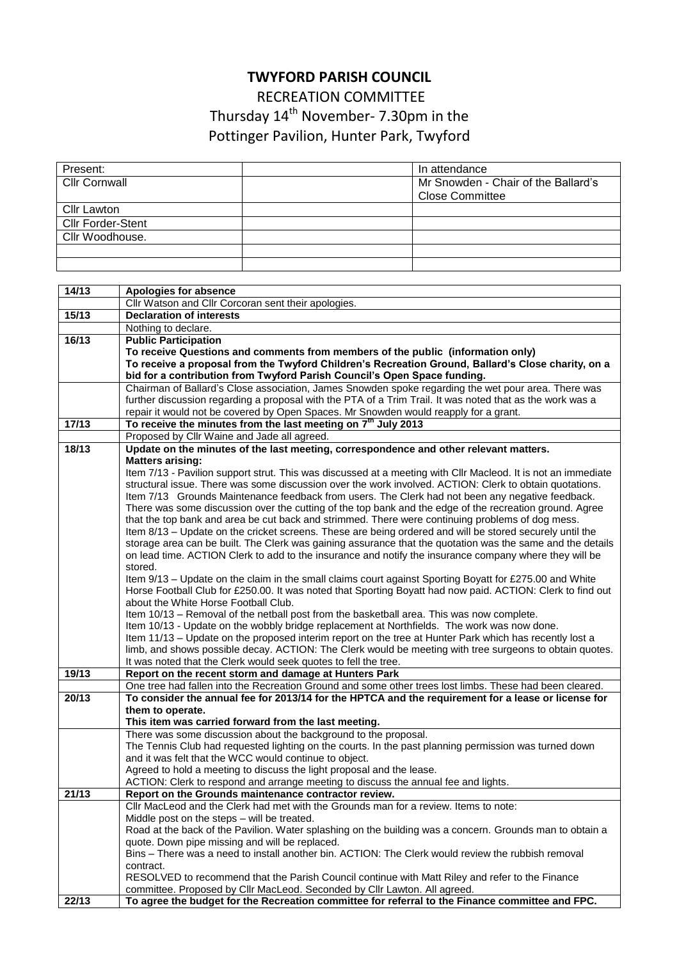## **TWYFORD PARISH COUNCIL**

RECREATION COMMITTEE Thursday 14<sup>th</sup> November- 7.30pm in the

Pottinger Pavilion, Hunter Park, Twyford

| Present:                 | In attendance                       |
|--------------------------|-------------------------------------|
| Cllr Cornwall            | Mr Snowden - Chair of the Ballard's |
|                          | <b>Close Committee</b>              |
| <b>Cllr Lawton</b>       |                                     |
| <b>Cllr Forder-Stent</b> |                                     |
| Cllr Woodhouse.          |                                     |
|                          |                                     |
|                          |                                     |

| 14/13 | Apologies for absence                                                                                                                                                                                                  |
|-------|------------------------------------------------------------------------------------------------------------------------------------------------------------------------------------------------------------------------|
|       | Cllr Watson and Cllr Corcoran sent their apologies.                                                                                                                                                                    |
| 15/13 | <b>Declaration of interests</b>                                                                                                                                                                                        |
|       | Nothing to declare.                                                                                                                                                                                                    |
| 16/13 | <b>Public Participation</b>                                                                                                                                                                                            |
|       | To receive Questions and comments from members of the public (information only)                                                                                                                                        |
|       | To receive a proposal from the Twyford Children's Recreation Ground, Ballard's Close charity, on a                                                                                                                     |
|       | bid for a contribution from Twyford Parish Council's Open Space funding.                                                                                                                                               |
|       | Chairman of Ballard's Close association, James Snowden spoke regarding the wet pour area. There was                                                                                                                    |
|       | further discussion regarding a proposal with the PTA of a Trim Trail. It was noted that as the work was a                                                                                                              |
|       | repair it would not be covered by Open Spaces. Mr Snowden would reapply for a grant.                                                                                                                                   |
| 17/13 | To receive the minutes from the last meeting on 7 <sup>th</sup> July 2013                                                                                                                                              |
|       | Proposed by Cllr Waine and Jade all agreed.                                                                                                                                                                            |
| 18/13 | Update on the minutes of the last meeting, correspondence and other relevant matters.                                                                                                                                  |
|       | <b>Matters arising:</b>                                                                                                                                                                                                |
|       | Item 7/13 - Pavilion support strut. This was discussed at a meeting with Cllr Macleod. It is not an immediate                                                                                                          |
|       | structural issue. There was some discussion over the work involved. ACTION: Clerk to obtain quotations.                                                                                                                |
|       | Item 7/13 Grounds Maintenance feedback from users. The Clerk had not been any negative feedback.                                                                                                                       |
|       | There was some discussion over the cutting of the top bank and the edge of the recreation ground. Agree                                                                                                                |
|       | that the top bank and area be cut back and strimmed. There were continuing problems of dog mess.                                                                                                                       |
|       | Item 8/13 - Update on the cricket screens. These are being ordered and will be stored securely until the<br>storage area can be built. The Clerk was gaining assurance that the quotation was the same and the details |
|       | on lead time. ACTION Clerk to add to the insurance and notify the insurance company where they will be                                                                                                                 |
|       | stored.                                                                                                                                                                                                                |
|       | Item 9/13 - Update on the claim in the small claims court against Sporting Boyatt for £275.00 and White                                                                                                                |
|       | Horse Football Club for £250.00. It was noted that Sporting Boyatt had now paid. ACTION: Clerk to find out                                                                                                             |
|       | about the White Horse Football Club.                                                                                                                                                                                   |
|       | Item 10/13 - Removal of the netball post from the basketball area. This was now complete.                                                                                                                              |
|       | Item 10/13 - Update on the wobbly bridge replacement at Northfields. The work was now done.                                                                                                                            |
|       | Item 11/13 - Update on the proposed interim report on the tree at Hunter Park which has recently lost a                                                                                                                |
|       | limb, and shows possible decay. ACTION: The Clerk would be meeting with tree surgeons to obtain quotes.                                                                                                                |
|       | It was noted that the Clerk would seek quotes to fell the tree.                                                                                                                                                        |
| 19/13 | Report on the recent storm and damage at Hunters Park                                                                                                                                                                  |
|       | One tree had fallen into the Recreation Ground and some other trees lost limbs. These had been cleared.                                                                                                                |
| 20/13 | To consider the annual fee for 2013/14 for the HPTCA and the requirement for a lease or license for                                                                                                                    |
|       | them to operate.                                                                                                                                                                                                       |
|       | This item was carried forward from the last meeting.                                                                                                                                                                   |
|       | There was some discussion about the background to the proposal.                                                                                                                                                        |
|       | The Tennis Club had requested lighting on the courts. In the past planning permission was turned down                                                                                                                  |
|       | and it was felt that the WCC would continue to object.                                                                                                                                                                 |
|       | Agreed to hold a meeting to discuss the light proposal and the lease.<br>ACTION: Clerk to respond and arrange meeting to discuss the annual fee and lights.                                                            |
| 21/13 | Report on the Grounds maintenance contractor review.                                                                                                                                                                   |
|       | CIIr MacLeod and the Clerk had met with the Grounds man for a review. Items to note:                                                                                                                                   |
|       | Middle post on the steps - will be treated.                                                                                                                                                                            |
|       | Road at the back of the Pavilion. Water splashing on the building was a concern. Grounds man to obtain a                                                                                                               |
|       | quote. Down pipe missing and will be replaced.                                                                                                                                                                         |
|       | Bins – There was a need to install another bin. ACTION: The Clerk would review the rubbish removal                                                                                                                     |
|       | contract.                                                                                                                                                                                                              |
|       | RESOLVED to recommend that the Parish Council continue with Matt Riley and refer to the Finance                                                                                                                        |
|       | committee. Proposed by Cllr MacLeod. Seconded by Cllr Lawton. All agreed.                                                                                                                                              |
| 22/13 | To agree the budget for the Recreation committee for referral to the Finance committee and FPC.                                                                                                                        |
|       |                                                                                                                                                                                                                        |